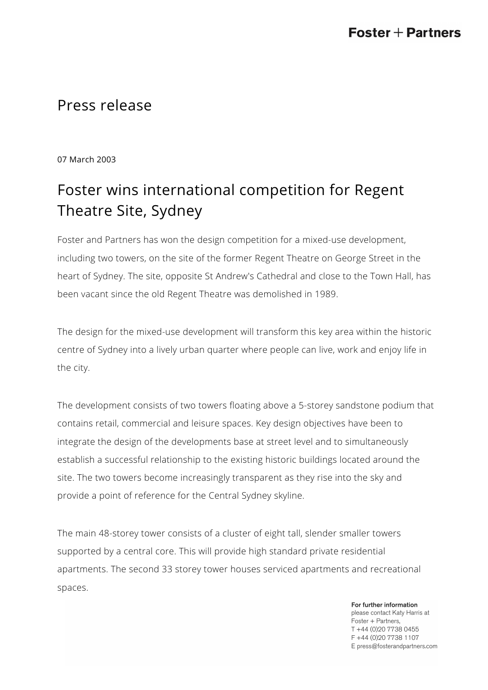## Press release

07 March 2003

## Foster wins international competition for Regent Theatre Site, Sydney

Foster and Partners has won the design competition for a mixed-use development, including two towers, on the site of the former Regent Theatre on George Street in the heart of Sydney. The site, opposite St Andrew's Cathedral and close to the Town Hall, has been vacant since the old Regent Theatre was demolished in 1989.

The design for the mixed-use development will transform this key area within the historic centre of Sydney into a lively urban quarter where people can live, work and enjoy life in the city.

The development consists of two towers floating above a 5-storey sandstone podium that contains retail, commercial and leisure spaces. Key design objectives have been to integrate the design of the developments base at street level and to simultaneously establish a successful relationship to the existing historic buildings located around the site. The two towers become increasingly transparent as they rise into the sky and provide a point of reference for the Central Sydney skyline.

The main 48-storey tower consists of a cluster of eight tall, slender smaller towers supported by a central core. This will provide high standard private residential apartments. The second 33 storey tower houses serviced apartments and recreational spaces.

> For further information please contact Katy Harris at Foster + Partners, T +44 (0)20 7738 0455 F +44 (0)20 7738 1107 E press@fosterandpartners.com